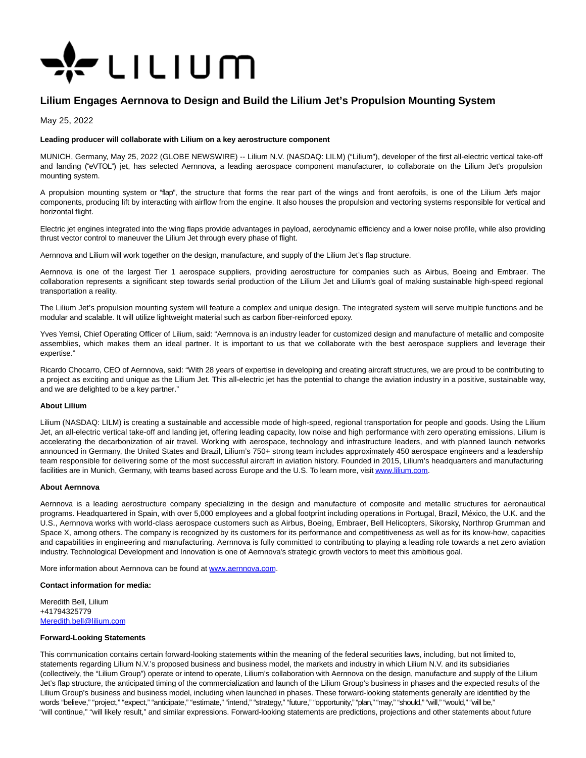

# **Lilium Engages Aernnova to Design and Build the Lilium Jet's Propulsion Mounting System**

May 25, 2022

## **Leading producer will collaborate with Lilium on a key aerostructure component**

MUNICH, Germany, May 25, 2022 (GLOBE NEWSWIRE) -- Lilium N.V. (NASDAQ: LILM) ("Lilium"), developer of the first all-electric vertical take-off and landing ("eVTOL") jet, has selected Aernnova, a leading aerospace component manufacturer, to collaborate on the Lilium Jet's propulsion mounting system.

A propulsion mounting system or "flap", the structure that forms the rear part of the wings and front aerofoils, is one of the Lilium Jet's major components, producing lift by interacting with airflow from the engine. It also houses the propulsion and vectoring systems responsible for vertical and horizontal flight.

Electric jet engines integrated into the wing flaps provide advantages in payload, aerodynamic efficiency and a lower noise profile, while also providing thrust vector control to maneuver the Lilium Jet through every phase of flight.

Aernnova and Lilium will work together on the design, manufacture, and supply of the Lilium Jet's flap structure.

Aernnova is one of the largest Tier 1 aerospace suppliers, providing aerostructure for companies such as Airbus, Boeing and Embraer. The collaboration represents a significant step towards serial production of the Lilium Jet and Lilium's goal of making sustainable high-speed regional transportation a reality.

The Lilium Jet's propulsion mounting system will feature a complex and unique design. The integrated system will serve multiple functions and be modular and scalable. It will utilize lightweight material such as carbon fiber-reinforced epoxy.

Yves Yemsi, Chief Operating Officer of Lilium, said: "Aernnova is an industry leader for customized design and manufacture of metallic and composite assemblies, which makes them an ideal partner. It is important to us that we collaborate with the best aerospace suppliers and leverage their expertise."

Ricardo Chocarro, CEO of Aernnova, said: "With 28 years of expertise in developing and creating aircraft structures, we are proud to be contributing to a project as exciting and unique as the Lilium Jet. This all-electric jet has the potential to change the aviation industry in a positive, sustainable way, and we are delighted to be a key partner."

### **About Lilium**

Lilium (NASDAQ: LILM) is creating a sustainable and accessible mode of high-speed, regional transportation for people and goods. Using the Lilium Jet, an all-electric vertical take-off and landing jet, offering leading capacity, low noise and high performance with zero operating emissions, Lilium is accelerating the decarbonization of air travel. Working with aerospace, technology and infrastructure leaders, and with planned launch networks announced in Germany, the United States and Brazil, Lilium's 750+ strong team includes approximately 450 aerospace engineers and a leadership team responsible for delivering some of the most successful aircraft in aviation history. Founded in 2015, Lilium's headquarters and manufacturing facilities are in Munich, Germany, with teams based across Europe and the U.S. To learn more, visi[t www.lilium.com.](https://www.globenewswire.com/Tracker?data=JKrqZ92VlkzACmoHFMBkY5VBw9p-6UumtINabU9GMHOrBS5WcmEykilmH65k9jpMG-x0fWsaXzelXrkhmvsnnQ==)

### **About Aernnova**

Aernnova is a leading aerostructure company specializing in the design and manufacture of composite and metallic structures for aeronautical programs. Headquartered in Spain, with over 5,000 employees and a global footprint including operations in Portugal, Brazil, México, the U.K. and the U.S., Aernnova works with world-class aerospace customers such as Airbus, Boeing, Embraer, Bell Helicopters, Sikorsky, Northrop Grumman and Space X, among others. The company is recognized by its customers for its performance and competitiveness as well as for its know-how, capacities and capabilities in engineering and manufacturing. Aernnova is fully committed to contributing to playing a leading role towards a net zero aviation industry. Technological Development and Innovation is one of Aernnova's strategic growth vectors to meet this ambitious goal.

More information about Aernnova can be found at [www.aernnova.com.](https://www.globenewswire.com/Tracker?data=BFFGB1WGqdaAM6mFqsD9O8y_73yD_BjPa1dp36vmSQdFGpiqCZc1qzoNMcLIhZiuHve1LmAsbgYQMUvSIWzX5A==)

### **Contact information for media:**

Meredith Bell, Lilium +41794325779 [Meredith.bell@lilium.com](https://www.globenewswire.com/Tracker?data=m1dd3NH7Mv8Z6SLFbEreIyZGwLeepYSu7wHSlR4t-iA1PM3g76XGBfmQVRGgu619QTVA6HLgg55nkzVCQMfPehAZIr_X7UbQmSPs6hPOlmY=)

### **Forward-Looking Statements**

This communication contains certain forward-looking statements within the meaning of the federal securities laws, including, but not limited to, statements regarding Lilium N.V.'s proposed business and business model, the markets and industry in which Lilium N.V. and its subsidiaries (collectively, the "Lilium Group") operate or intend to operate, Lilium's collaboration with Aernnova on the design, manufacture and supply of the Lilium Jet's flap structure, the anticipated timing of the commercialization and launch of the Lilium Group's business in phases and the expected results of the Lilium Group's business and business model, including when launched in phases. These forward-looking statements generally are identified by the words "believe," "project," "expect," "anticipate," "estimate," "intend," "strategy," "future," "opportunity," "plan," "may," "should," "will," "would," "will be," "will continue," "will likely result," and similar expressions. Forward-looking statements are predictions, projections and other statements about future